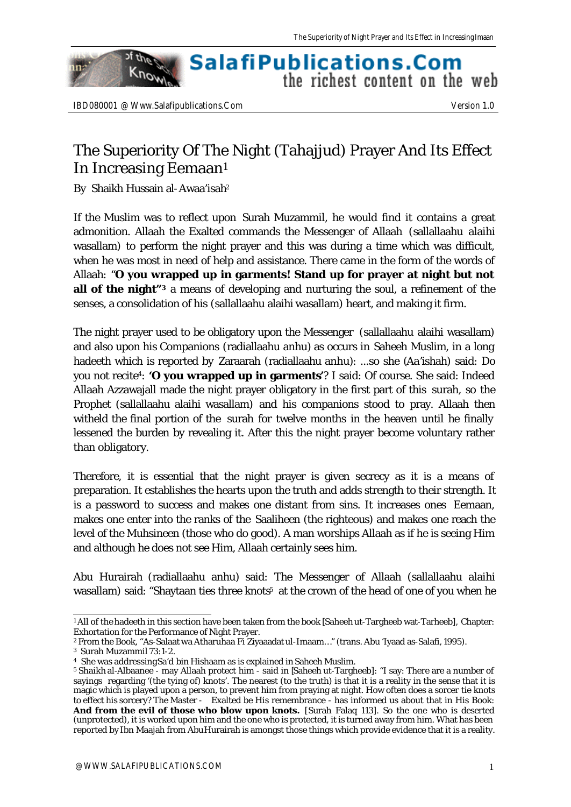## SalafiPublications.Com the richest content on the web

of the

Know

nn:

## The Superiority Of The Night (Tahajjud) Prayer And Its Effect In Increasing Eemaan<sup>1</sup>

By Shaikh Hussain al-Awaa'isah<sup>2</sup>

If the Muslim was to reflect upon Surah Muzammil, he would find it contains a great admonition. Allaah the Exalted commands the Messenger of Allaah (sallallaahu alaihi wasallam) to perform the night prayer and this was during a time which was difficult, when he was most in need of help and assistance. There came in the form of the words of Allaah: "**O you wrapped up in garments! Stand up for prayer at night but not all of the night**"<sup>3</sup> a means of developing and nurturing the soul, a refinement of the senses, a consolidation of his (sallallaahu alaihi wasallam) heart, and making it firm.

The night prayer used to be obligatory upon the Messenger (sallallaahu alaihi wasallam) and also upon his Companions (radiallaahu anhu) as occurs in Saheeh Muslim, in a long hadeeth which is reported by Zaraarah (radiallaahu anhu): ...so she (Aa'ishah) said: Do you not recite<sup>4</sup> : **'O you wrapped up in garments'**? I said: Of course. She said: Indeed Allaah Azzawajall made the night prayer obligatory in the first part of this surah, so the Prophet (sallallaahu alaihi wasallam) and his companions stood to pray. Allaah then witheld the final portion of the surah for twelve months in the heaven until he finally lessened the burden by revealing it. After this the night prayer become voluntary rather than obligatory.

Therefore, it is essential that the night prayer is given secrecy as it is a means of preparation. It establishes the hearts upon the truth and adds strength to their strength. It is a password to success and makes one distant from sins. It increases ones Eemaan, makes one enter into the ranks of the Saaliheen (the righteous) and makes one reach the level of the Muhsineen (those who do good). A man worships Allaah as if he is seeing Him and although he does not see Him, Allaah certainly sees him.

Abu Hurairah (radiallaahu anhu) said: The Messenger of Allaah (sallallaahu alaihi wasallam) said: "Shaytaan ties three knots<sup>5</sup> at the crown of the head of one of you when he

l 1 All of the hadeeth in this section have been taken from the book [Saheeh ut-Targheeb wat-Tarheeb], Chapter: Exhortation for the Performance of Night Prayer.

<sup>2</sup> From the Book, "As-Salaat wa Atharuhaa Fi Ziyaaadat ul-Imaam…" (trans. Abu 'Iyaad as-Salafi, 1995).

<sup>3</sup> Surah Muzammil 73:1-2.

<sup>4</sup> She was addressing Sa'd bin Hishaam as is explained in Saheeh Muslim.

<sup>5</sup> Shaikh al-Albaanee - may Allaah protect him - said in [Saheeh ut-Targheeb]: "I say: There are a number of sayings regarding '(the tying of) knots'. The nearest (to the truth) is that it is a reality in the sense that it is magic which is played upon a person, to prevent him from praying at night. How often does a sorcer tie knots to effect his sorcery? The Master - Exalted be His remembrance - has informed us about that in His Book: And from the evil of those who blow upon knots. [Surah Falaq 113]. So the one who is deserted (unprotected), it is worked upon him and the one who is protected, it is turned away from him. What has been reported by Ibn Maajah from Abu Hurairah is amongst those things which provide evidence that it is a reality.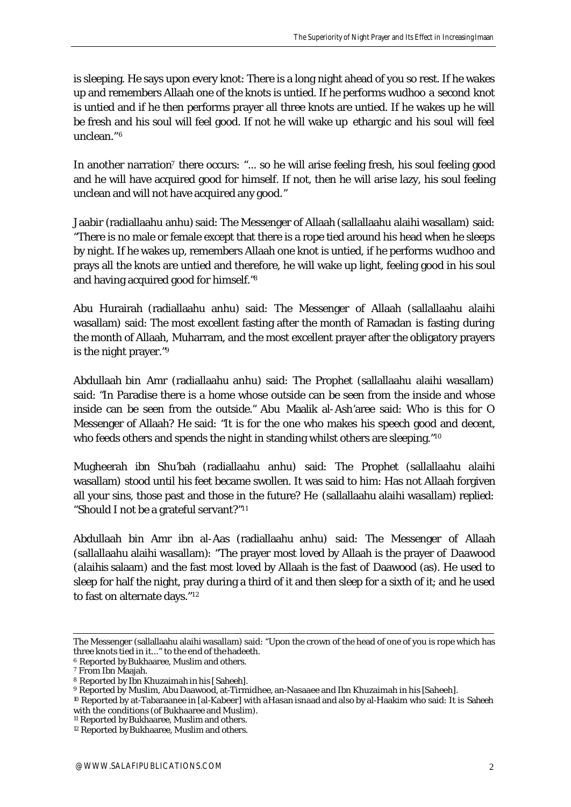is sleeping. He says upon every knot: There is a long night ahead of you so rest. If he wakes up and remembers Allaah one of the knots is untied. If he performs wudhoo a second knot is untied and if he then performs prayer all three knots are untied. If he wakes up he will be fresh and his soul will feel good. If not he will wake up ethargic and his soul will feel unclean." 6

In another narration<sup>7</sup> there occurs: "... so he will arise feeling fresh, his soul feeling good and he will have acquired good for himself. If not, then he will arise lazy, his soul feeling unclean and will not have acquired any good."

Jaabir (radiallaahu anhu) said: The Messenger of Allaah (sallallaahu alaihi wasallam) said: "There is no male or female except that there is a rope tied around his head when he sleeps by night. If he wakes up, remembers Allaah one knot is untied, if he performs wudhoo and prays all the knots are untied and therefore, he will wake up light, feeling good in his soul and having acquired good for himself." 8

Abu Hurairah (radiallaahu anhu) said: The Messenger of Allaah (sallallaahu alaihi wasallam) said: The most excellent fasting after the month of Ramadan is fasting during the month of Allaah, Muharram, and the most excellent prayer after the obligatory prayers is the night prayer." 9

Abdullaah bin Amr (radiallaahu anhu) said: The Prophet (sallallaahu alaihi wasallam) said: "In Paradise there is a home whose outside can be seen from the inside and whose inside can be seen from the outside." Abu Maalik al-Ash'aree said: Who is this for O Messenger of Allaah? He said: "It is for the one who makes his speech good and decent, who feeds others and spends the night in standing whilst others are sleeping."<sup>10</sup>

Mugheerah ibn Shu'bah (radiallaahu anhu) said: The Prophet (sallallaahu alaihi wasallam) stood until his feet became swollen. It was said to him: Has not Allaah forgiven all your sins, those past and those in the future? He (sallallaahu alaihi wasallam) replied: "Should I not be a grateful servant?" 1 1

Abdullaah bin Amr ibn al-Aas (radiallaahu anhu) said: The Messenger of Allaah (sallallaahu alaihi wasallam): "The prayer most loved by Allaah is the prayer of Daawood (alaihis salaam) and the fast most loved by Allaah is the fast of Daawood (as). He used to sleep for half the night, pray during a third of it and then sleep for a sixth of it; and he used to fast on alternate days." 12

l The Messenger (sallallaahu alaihi wasallam) said: "Upon the crown of the head of one of you is rope which has three knots tied in it..." to the end of the hadeeth.

<sup>6</sup> Reported by Bukhaaree, Muslim and others.

<sup>7</sup> From Ibn Maajah.

<sup>8</sup> Reported by Ibn Khuzaimah in his [Saheeh].

<sup>9</sup> Reported by Muslim, Abu Daawood, at-Tirmidhee, an-Nasaaee and Ibn Khuzaimah in his [Saheeh].

<sup>10</sup> Reported by at-Tabaraanee in [al-Kabeer] with a Hasan isnaad and also by al-Haakim who said: It is Saheeh with the conditions (of Bukhaaree and Muslim).

<sup>&</sup>lt;sup>11</sup> Reported by Bukhaaree, Muslim and others.

<sup>&</sup>lt;sup>12</sup> Reported by Bukhaaree, Muslim and others.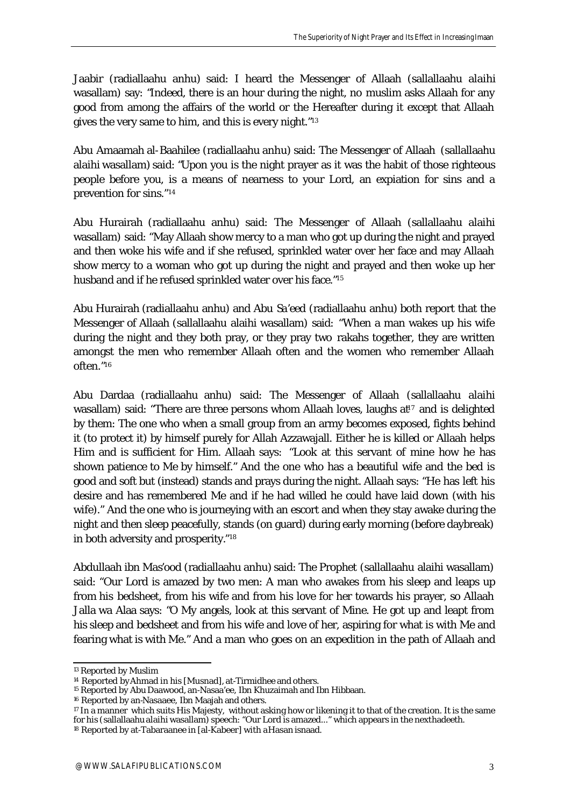Jaabir (radiallaahu anhu) said: I heard the Messenger of Allaah (sallallaahu alaihi wasallam) say: "Indeed, there is an hour during the night, no muslim asks Allaah for any good from among the affairs of the world or the Hereafter during it except that Allaah gives the very same to him, and this is every night." 13

Abu Amaamah al-Baahilee (radiallaahu anhu) said: The Messenger of Allaah (sallallaahu alaihi wasallam) said: "Upon you is the night prayer as it was the habit of those righteous people before you, is a means of nearness to your Lord, an expiation for sins and a prevention for sins." 14

Abu Hurairah (radiallaahu anhu) said: The Messenger of Allaah (sallallaahu alaihi wasallam) said: "May Allaah show mercy to a man who got up during the night and prayed and then woke his wife and if she refused, sprinkled water over her face and may Allaah show mercy to a woman who got up during the night and prayed and then woke up her husband and if he refused sprinkled water over his face."<sup>15</sup>

Abu Hurairah (radiallaahu anhu) and Abu Sa'eed (radiallaahu anhu) both report that the Messenger of Allaah (sallallaahu alaihi wasallam) said: "When a man wakes up his wife during the night and they both pray, or they pray two rakahs together, they are written amongst the men who remember Allaah often and the women who remember Allaah often." 16

Abu Dardaa (radiallaahu anhu) said: The Messenger of Allaah (sallallaahu alaihi wasallam) said: "There are three persons whom Allaah loves, laughs at<sup> $7$ </sup> and is delighted by them: The one who when a small group from an army becomes exposed, fights behind it (to protect it) by himself purely for Allah Azzawajall. Either he is killed or Allaah helps Him and is sufficient for Him. Allaah says: "Look at this servant of mine how he has shown patience to Me by himself." And the one who has a beautiful wife and the bed is good and soft but (instead) stands and prays during the night. Allaah says: "He has left his desire and has remembered Me and if he had willed he could have laid down (with his wife)." And the one who is journeying with an escort and when they stay awake during the night and then sleep peacefully, stands (on guard) during early morning (before daybreak) in both adversity and prosperity." 18

Abdullaah ibn Mas'ood (radiallaahu anhu) said: The Prophet (sallallaahu alaihi wasallam) said: "Our Lord is amazed by two men: A man who awakes from his sleep and leaps up from his bedsheet, from his wife and from his love for her towards his prayer, so Allaah Jalla wa Alaa says: "O My angels, look at this servant of Mine. He got up and leapt from his sleep and bedsheet and from his wife and love of her, aspiring for what is with Me and fearing what is with Me." And a man who goes on an expedition in the path of Allaah and

l

<sup>13</sup> Reported by Muslim

<sup>&</sup>lt;sup>14</sup> Reported by Ahmad in his [Musnad], at-Tirmidhee and others.

<sup>15</sup> Reported by Abu Daawood, an-Nasaa'ee, Ibn Khuzaimah and Ibn Hibbaan.

<sup>16</sup> Reported by an-Nasaaee, Ibn Maajah and others.

 $17$  In a manner which suits His Majesty, without asking how or likening it to that of the creation. It is the same for his (sallallaahu alaihi wasallam) speech: "Our Lord is amazed..." which appears in the next hadeeth.

<sup>&</sup>lt;sup>18</sup> Reported by at-Tabaraanee in [al-Kabeer] with a Hasan isnaad.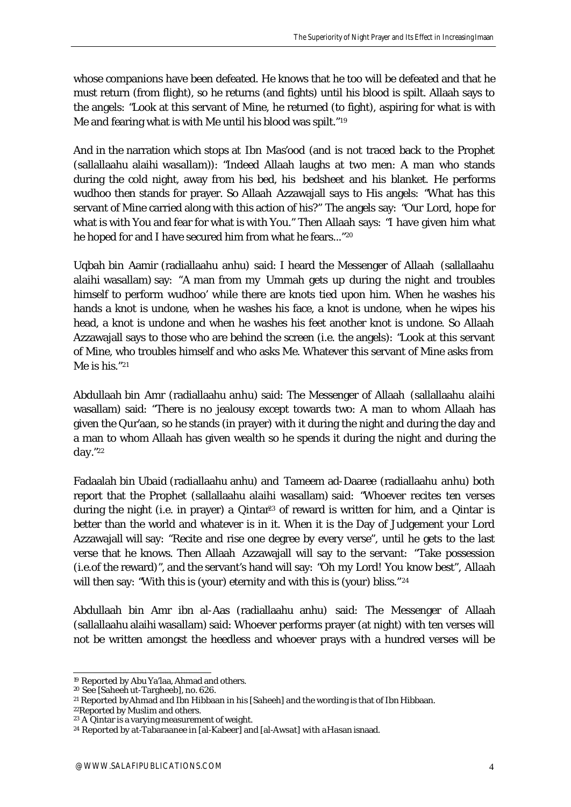whose companions have been defeated. He knows that he too will be defeated and that he must return (from flight), so he returns (and fights) until his blood is spilt. Allaah says to the angels: "Look at this servant of Mine, he returned (to fight), aspiring for what is with Me and fearing what is with Me until his blood was spilt." 19

And in the narration which stops at Ibn Mas'ood (and is not traced back to the Prophet (sallallaahu alaihi wasallam)): "Indeed Allaah laughs at two men: A man who stands during the cold night, away from his bed, his bedsheet and his blanket. He performs wudhoo then stands for prayer. So Allaah Azzawajall says to His angels: "What has this servant of Mine carried along with this action of his?" The angels say: "Our Lord, hope for what is with You and fear for what is with You." Then Allaah says: "I have given him what he hoped for and I have secured him from what he fears..." 20

Uqbah bin Aamir (radiallaahu anhu) said: I heard the Messenger of Allaah (sallallaahu alaihi wasallam) say: "A man from my Ummah gets up during the night and troubles himself to perform wudhoo' while there are knots tied upon him. When he washes his hands a knot is undone, when he washes his face, a knot is undone, when he wipes his head, a knot is undone and when he washes his feet another knot is undone. So Allaah Azzawajall says to those who are behind the screen (i.e. the angels): "Look at this servant of Mine, who troubles himself and who asks Me. Whatever this servant of Mine asks from Me is his." 21

Abdullaah bin Amr (radiallaahu anhu) said: The Messenger of Allaah (sallallaahu alaihi wasallam) said: "There is no jealousy except towards two: A man to whom Allaah has given the Qur'aan, so he stands (in prayer) with it during the night and during the day and a man to whom Allaah has given wealth so he spends it during the night and during the day." 22

Fadaalah bin Ubaid (radiallaahu anhu) and Tameem ad-Daaree (radiallaahu anhu) both report that the Prophet (sallallaahu alaihi wasallam) said: "Whoever recites ten verses during the night (i.e. in prayer) a Qintar<sup>23</sup> of reward is written for him, and a Qintar is better than the world and whatever is in it. When it is the Day of Judgement your Lord Azzawajall will say: "Recite and rise one degree by every verse", until he gets to the last verse that he knows. Then Allaah Azzawajall will say to the servant: "Take possession (i.e.of the reward)", and the servant's hand will say: "Oh my Lord! You know best", Allaah will then say: "With this is (your) eternity and with this is (your) bliss." 24

Abdullaah bin Amr ibn al-Aas (radiallaahu anhu) said: The Messenger of Allaah (sallallaahu alaihi wasallam) said: Whoever performs prayer (at night) with ten verses will not be written amongst the heedless and whoever prays with a hundred verses will be

l <sup>19</sup> Reported by Abu Ya'laa, Ahmad and others.

<sup>20</sup> See [Saheeh ut-Targheeb], no. 626.

<sup>21</sup> Reported by Ahmad and Ibn Hibbaan in his [Saheeh] and the wording is that of Ibn Hibbaan.

<sup>22</sup>Reported by Muslim and others.

<sup>23</sup> A Qintar is a varying measurement of weight.

<sup>&</sup>lt;sup>24</sup> Reported by at-Tabaraanee in [al-Kabeer] and [al-Awsat] with a Hasan isnaad.